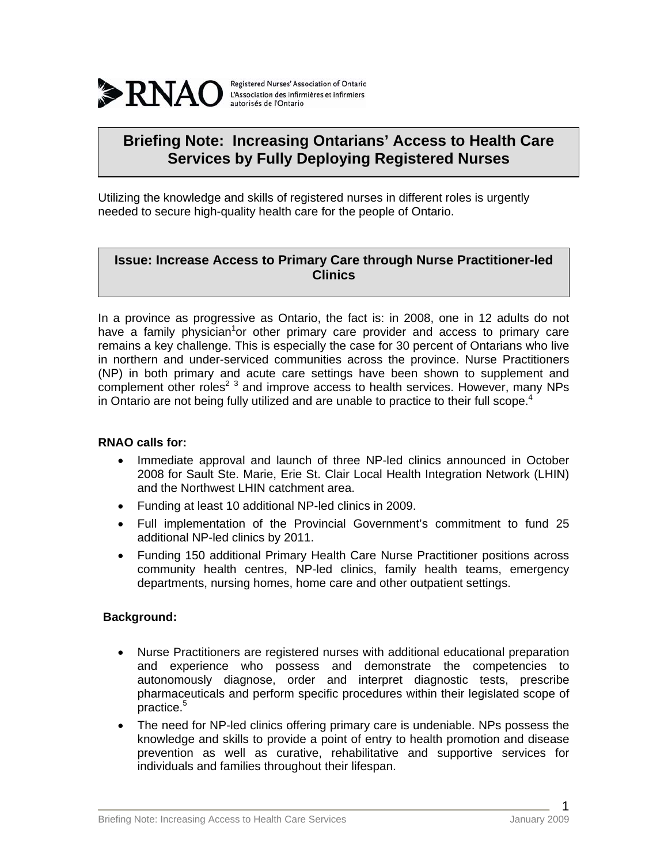

Registered Nurses' Association of Ontario L'Association des infirmières et infirmiers autorisés de l'Ontario

# **Briefing Note: Increasing Ontarians' Access to Health Care Services by Fully Deploying Registered Nurses**

Utilizing the knowledge and skills of registered nurses in different roles is urgently needed to secure high-quality health care for the people of Ontario.

## **Issue: Increase Access to Primary Care through Nurse Practitioner-led Clinics**

In a province as progressive as Ontario, the fact is: in 2008, one in 12 adults do not have a family physician<sup>1</sup>or other primary care provider and access to primary care remains a key challenge. This is especially the case for 30 percent of Ontarians who live in northern and under-serviced communities across the province. Nurse Practitioners (NP) in both primary and acute care settings have been shown to supplement and complement other roles<sup>2 3</sup> and improve access to health services. However, many NPs in Ontario are not being fully utilized and are unable to practice to their full scope.<sup>4</sup>

### **RNAO calls for:**

- Immediate approval and launch of three NP-led clinics announced in October 2008 for Sault Ste. Marie, Erie St. Clair Local Health Integration Network (LHIN) and the Northwest LHIN catchment area.
- Funding at least 10 additional NP-led clinics in 2009.
- Full implementation of the Provincial Government's commitment to fund 25 additional NP-led clinics by 2011.
- Funding 150 additional Primary Health Care Nurse Practitioner positions across community health centres, NP-led clinics, family health teams, emergency departments, nursing homes, home care and other outpatient settings.

### **Background:**

- Nurse Practitioners are registered nurses with additional educational preparation and experience who possess and demonstrate the competencies to autonomously diagnose, order and interpret diagnostic tests, prescribe pharmaceuticals and perform specific procedures within their legislated scope of practice.5
- The need for NP-led clinics offering primary care is undeniable. NPs possess the knowledge and skills to provide a point of entry to health promotion and disease prevention as well as curative, rehabilitative and supportive services for individuals and families throughout their lifespan.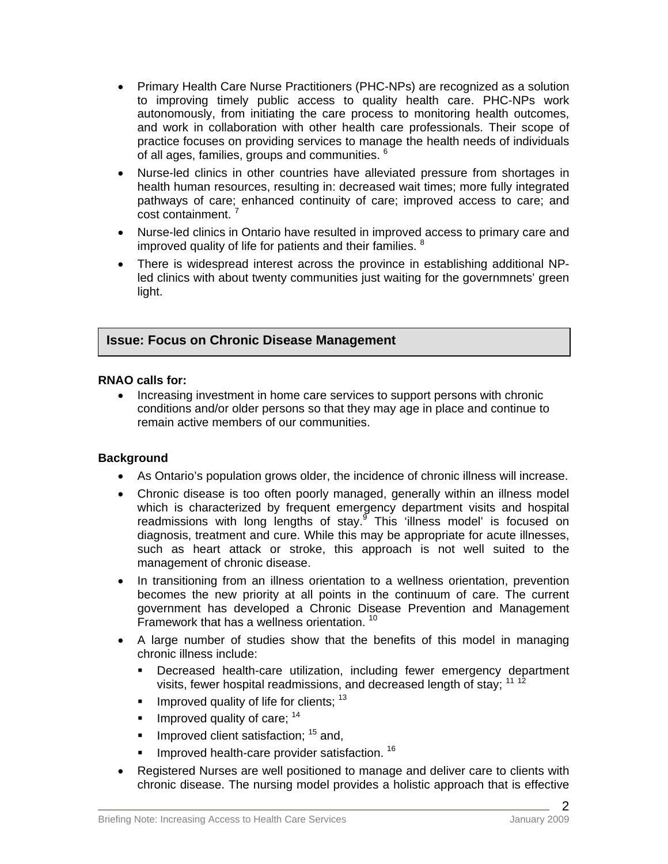- Primary Health Care Nurse Practitioners (PHC-NPs) are recognized as a solution to improving timely public access to quality health care. PHC-NPs work autonomously, from initiating the care process to monitoring health outcomes, and work in collaboration with other health care professionals. Their scope of practice focuses on providing services to manage the health needs of individuals of all ages, families, groups and communities. <sup>6</sup>
- Nurse-led clinics in other countries have alleviated pressure from shortages in health human resources, resulting in: decreased wait times; more fully integrated pathways of care; enhanced continuity of care; improved access to care; and cost containment.<sup>7</sup>
- Nurse-led clinics in Ontario have resulted in improved access to primary care and improved quality of life for patients and their families.  $8$
- There is widespread interest across the province in establishing additional NPled clinics with about twenty communities just waiting for the governmnets' green light.

## **Issue: Focus on Chronic Disease Management**

### **RNAO calls for:**

• Increasing investment in home care services to support persons with chronic conditions and/or older persons so that they may age in place and continue to remain active members of our communities.

### **Background**

- As Ontario's population grows older, the incidence of chronic illness will increase.
- Chronic disease is too often poorly managed, generally within an illness model which is characterized by frequent emergency department visits and hospital readmissions with long lengths of stay.<sup>9</sup> This 'illness model' is focused on diagnosis, treatment and cure. While this may be appropriate for acute illnesses, such as heart attack or stroke, this approach is not well suited to the management of chronic disease.
- In transitioning from an illness orientation to a wellness orientation, prevention becomes the new priority at all points in the continuum of care. The current government has developed a Chronic Disease Prevention and Management Framework that has a wellness orientation. 10
- A large number of studies show that the benefits of this model in managing chronic illness include:
	- Decreased health-care utilization, including fewer emergency department visits, fewer hospital readmissions, and decreased length of stay; 11 12
	- Improved quality of life for clients;  $13$
	- Improved quality of care;  $14$
	- Improved client satisfaction;  $15$  and,
	- Improved health-care provider satisfaction. 16
- Registered Nurses are well positioned to manage and deliver care to clients with chronic disease. The nursing model provides a holistic approach that is effective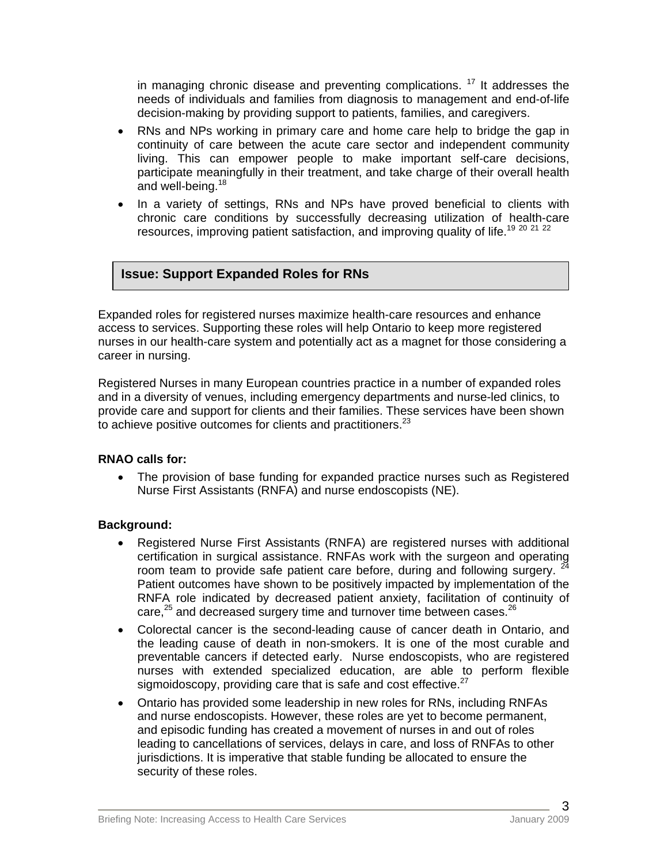in managing chronic disease and preventing complications.<sup>17</sup> It addresses the needs of individuals and families from diagnosis to management and end-of-life decision-making by providing support to patients, families, and caregivers.

- RNs and NPs working in primary care and home care help to bridge the gap in continuity of care between the acute care sector and independent community living. This can empower people to make important self-care decisions, participate meaningfully in their treatment, and take charge of their overall health and well-being.<sup>18</sup>
- In a variety of settings, RNs and NPs have proved beneficial to clients with chronic care conditions by successfully decreasing utilization of health-care resources, improving patient satisfaction, and improving quality of life.<sup>19 20 21</sup> <sup>22</sup>

## **Issue: Support Expanded Roles for RNs**

Expanded roles for registered nurses maximize health-care resources and enhance access to services. Supporting these roles will help Ontario to keep more registered nurses in our health-care system and potentially act as a magnet for those considering a career in nursing.

Registered Nurses in many European countries practice in a number of expanded roles and in a diversity of venues, including emergency departments and nurse-led clinics, to provide care and support for clients and their families. These services have been shown to achieve positive outcomes for clients and practitioners. $^{23}$ 

### **RNAO calls for:**

• The provision of base funding for expanded practice nurses such as Registered Nurse First Assistants (RNFA) and nurse endoscopists (NE).

## **Background:**

- Registered Nurse First Assistants (RNFA) are registered nurses with additional certification in surgical assistance. RNFAs work with the surgeon and operating room team to provide safe patient care before, during and following surgery.  $24$ Patient outcomes have shown to be positively impacted by implementation of the RNFA role indicated by decreased patient anxiety, facilitation of continuity of care,<sup>25</sup> and decreased surgery time and turnover time between cases.<sup>26</sup>
- Colorectal cancer is the second-leading cause of cancer death in Ontario, and the leading cause of death in non-smokers. It is one of the most curable and preventable cancers if detected early. Nurse endoscopists, who are registered nurses with extended specialized education, are able to perform flexible sigmoidoscopy, providing care that is safe and cost effective. $27$
- Ontario has provided some leadership in new roles for RNs, including RNFAs and nurse endoscopists. However, these roles are yet to become permanent, and episodic funding has created a movement of nurses in and out of roles leading to cancellations of services, delays in care, and loss of RNFAs to other jurisdictions. It is imperative that stable funding be allocated to ensure the security of these roles.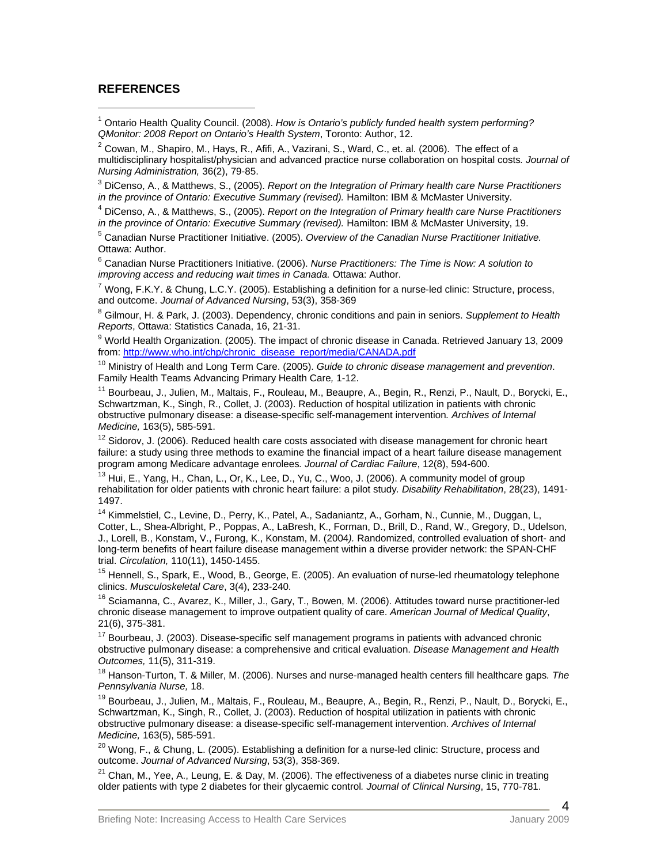#### **REFERENCES**

 $\overline{a}$ 

<sup>1</sup> Ontario Health Quality Council. (2008). *How is Ontario's publicly funded health system performing? QMonitor: 2008 Report on Ontario's Health System, Toronto: Author, 12.* 

 $2$  Cowan, M., Shapiro, M., Hays, R., Afifi, A., Vazirani, S., Ward, C., et. al. (2006). The effect of a multidisciplinary hospitalist/physician and advanced practice nurse collaboration on hospital costs*. Journal of Nursing Administration,* 36(2), 79-85. 3

 DiCenso, A., & Matthews, S., (2005). *Report on the Integration of Primary health care Nurse Practitioners in the province of Ontario: Executive Summary (revised).* Hamilton: IBM & McMaster University. 4

 DiCenso, A., & Matthews, S., (2005). *Report on the Integration of Primary health care Nurse Practitioners in the province of Ontario: Executive Summary (revised).* Hamilton: IBM & McMaster University, 19. 5

 Canadian Nurse Practitioner Initiative. (2005). *Overview of the Canadian Nurse Practitioner Initiative.*  Ottawa: Author.

6 Canadian Nurse Practitioners Initiative. (2006). *Nurse Practitioners: The Time is Now: A solution to improving access and reducing wait times in Canada.* Ottawa: Author. 7

<sup>7</sup> Wong, F.K.Y. & Chung, L.C.Y. (2005). Establishing a definition for a nurse-led clinic: Structure, process, and outcome. Journal of Advanced Nursing, 53(3), 358-369

 Gilmour, H. & Park, J. (2003). Dependency, chronic conditions and pain in seniors. *Supplement to Health Reports*, Ottawa: Statistics Canada, 16, 21-31.

<sup>9</sup> World Health Organization. (2005). The impact of chronic disease in Canada. Retrieved January 13, 2009<br>from: http://www.who.int/chp/chronic\_disease\_report/media/CANADA.pdf

<sup>10</sup> Ministry of Health and Long Term Care. (2005). *Guide to chronic disease management and prevention.*<br>Family Health Teams Advancing Primary Health Care, 1-12.

<sup>11</sup> Bourbeau, J., Julien, M., Maltais, F., Rouleau, M., Beaupre, A., Begin, R., Renzi, P., Nault, D., Borycki, E., Schwartzman, K., Singh, R., Collet, J. (2003). Reduction of hospital utilization in patients with chronic obstructive pulmonary disease: a disease-specific self-management intervention*. Archives of Internal Medicine,* 163(5), 585-591.<br><sup>12</sup> Sidorov, J. (2006). Reduced health care costs associated with disease management for chronic heart

failure: a study using three methods to examine the financial impact of a heart failure disease management program among Medicare advantage enrolees. Journal of Cardiac Failure, 12(8), 594-600.

<sup>13</sup> Hui, E., Yang, H., Chan, L., Or, K., Lee, D., Yu, C., Woo, J. (2006). A community model of group rehabilitation for older patients with chronic heart failure: a pilot study*. Disability Rehabilitation*, 28(23), 1491- 1497.

<sup>14</sup> Kimmelstiel, C., Levine, D., Perry, K., Patel, A., Sadaniantz, A., Gorham, N., Cunnie, M., Duggan, L, Cotter, L., Shea-Albright, P., Poppas, A., LaBresh, K., Forman, D., Brill, D., Rand, W., Gregory, D., Udelson, J., Lorell, B., Konstam, V., Furong, K., Konstam, M. (2004*).* Randomized, controlled evaluation of short- and long-term benefits of heart failure disease management within a diverse provider network: the SPAN-CHF

trial. *Circulation,* 110(11), 1450-1455.<br><sup>15</sup> Hennell, S., Spark, E., Wood, B., George, E. (2005). An evaluation of nurse-led rheumatology telephone<br>clinics. *Musculoskeletal Care*, 3(4), 233-240.

<sup>16</sup> Sciamanna, C., Avarez, K., Miller, J., Gary, T., Bowen, M. (2006). Attitudes toward nurse practitioner-led chronic disease management to improve outpatient quality of care. *American Journal of Medical Quality*, 21(6), 375-381.

<sup>17</sup> Bourbeau, J. (2003). Disease-specific self management programs in patients with advanced chronic obstructive pulmonary disease: a comprehensive and critical evaluation. *Disease Management and Health* 

<sup>18</sup> Hanson-Turton, T. & Miller, M. (2006). Nurses and nurse-managed health centers fill healthcare gaps. The *Pennsylvania Nurse,* 18.<br><sup>19</sup> Bourbeau, J., Julien, M., Maltais, F., Rouleau, M., Beaupre, A., Begin, R., Renzi, P., Nault, D., Borycki, E.,

Schwartzman, K., Singh, R., Collet, J. (2003). Reduction of hospital utilization in patients with chronic obstructive pulmonary disease: a disease-specific self-management intervention. *Archives of Internal Medicine,* 163(5), 585-591.<br><sup>20</sup> Wona, F., & Chuna, L. (2005). Establishing a definition for a nurse-led clinic: Structure, process and

outcome. *Journal of Advanced Nursing*, 53(3), 358-369.<br><sup>21</sup> Chan, M., Yee, A., Leung, E. & Day, M. (2006). The effectiveness of a diabetes nurse clinic in treating

older patients with type 2 diabetes for their glycaemic control*. Journal of Clinical Nursing*, 15, 770-781.